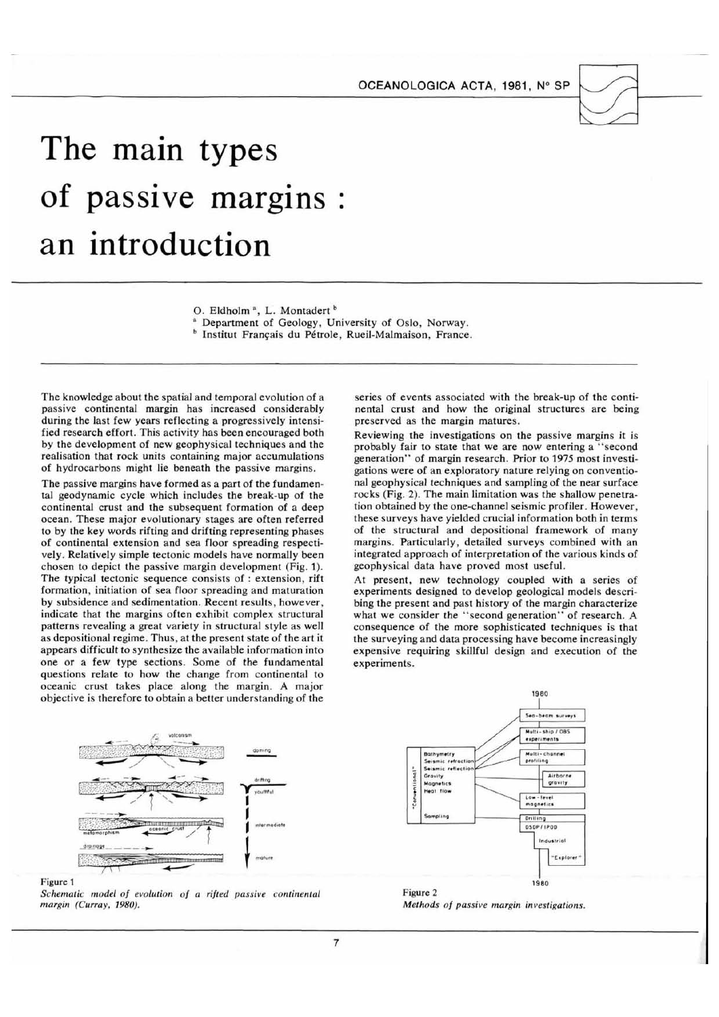OCEANOLOGICA ACTA, 1981, Nº SP



# The main types of passive margins : an introduction

O. Eldholm<sup>a</sup>, L. Montadert<sup>b</sup>

<sup>a</sup> Department of Geology, University of Oslo, Norway.

<sup>b</sup> Institut Français du Pétrole, Rueil-Malmaison, France.

The knowledge about the spatial and temporal evolution of a passive continental margin has increased considerably during the last few years reflecting a progressively intensified research effort. This activity has been encouraged both by the development of new geophysical techniques and the realisation that rock units containing major accumulations of hydrocarbons might lie beneath the passive margins.

The passive margins have formed as a part of the fundamental geodynamic cycle which includes the break-up of the continental crust and the subsequent formation of a deep ocean. These major evolutionary stages are often referred to by the key words rifting and drifting representing phases of continental extension and sea floor spreading respectively. Relatively simple tectonic models have normally been chosen to depict the passive margin development (Fig. 1). The typical tectonic sequence consists of : extension, rift formation, initiation of sea floor spreading and maturation by subsidence and sedimentation. Recent results, however, indicate that the margins often exhibit complex structural patterns revealing a great variety in structural style as well as depositional regime. Thus, at the present state of the art it appears difficult to synthesize the available information into one or a few type sections. Some of the fundamental questions relate to how the change from continental to oceanic crust takes place along the margin. A major objective is therefore to obtain a better understanding of the



#### Figure 1

Schematic model of evolution of a rifted passive continental margin (Curray, 1980).

series of events associated with the break-up of the continental crust and how the original structures are being preserved as the margin matures.

Reviewing the investigations on the passive margins it is probably fair to state that we are now entering a "second generation" of margin research. Prior to 1975 most investigations were of an exploratory nature relying on conventional geophysical techniques and sampling of the near surface rocks (Fig. 2). The main limitation was the shallow penetration obtained by the one-channel seismic profiler. However, these surveys have yielded crucial information both in terms of the structural and depositional framework of many margins. Particularly, detailed surveys combined with an integrated approach of interpretation of the various kinds of geophysical data have proved most useful.

At present, new technology coupled with a series of experiments designed to develop geological models describing the present and past history of the margin characterize what we consider the "second generation" of research. A consequence of the more sophisticated techniques is that the surveying and data processing have become increasingly expensive requiring skillful design and execution of the experiments.



Figure 2 Methods of passive margin investigations.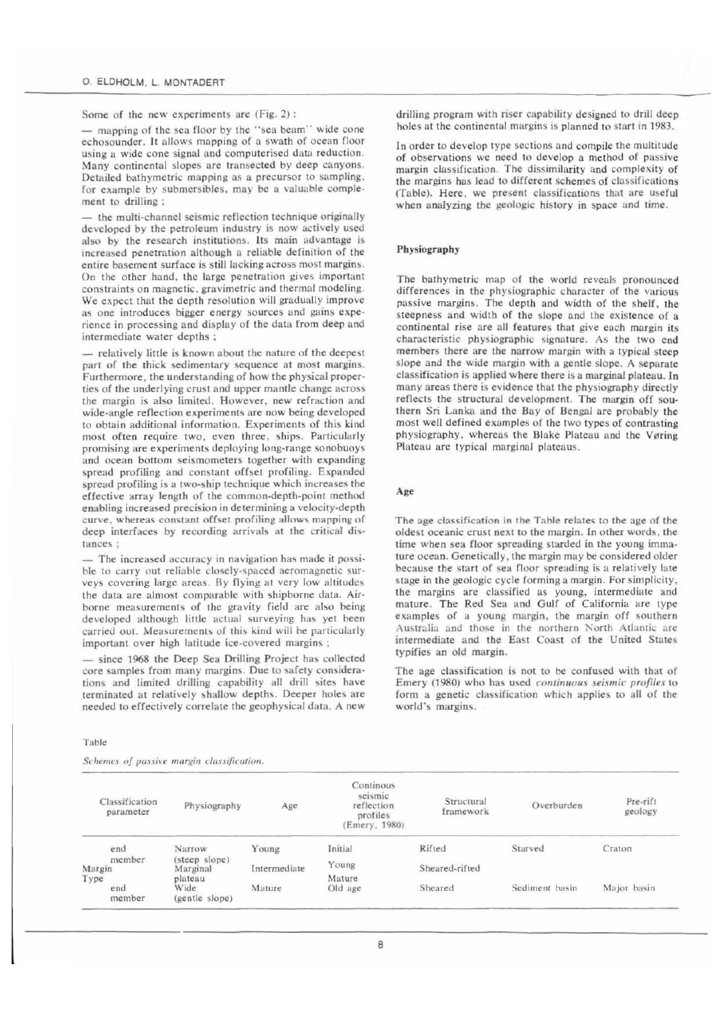Some of the new experiments are (Fig. 2):

- mapping of the sea floor by the "sea beam" wide cone echosounder. It allows mapping of a swath of ocean floor using a wide cone signal and computerised data reduction. Many continental slopes are transected by deep canyons. Detailed bathymetric mapping as a precursor to sampling. for example by submersibles, may be a valuable complement to drilling :

the multi-channel seismic reflection technique originally developed by the petroleum industry is now actively used also by the research institutions. Its main advantage is increased penetration although a reliable definition of the entire basement surface is still lacking across most margins. On the other hand, the large penetration gives important constraints on magnetic, gravimetric and thermal modeling. We expect that the depth resolution will gradually improve as one introduces bigger energy sources and gains experience in processing and display of the data from deep and intermediate water depths ;

- relatively little is known about the nature of the deepest part of the thick sedimentary sequence at most margins. Furthermore, the understanding of how the physical properties of the underlying crust and upper mantle change across the margin is also limited. However, new refraction and wide-angle reflection experiments are now being developed to obtain additional information. Experiments of this kind most often require two, even three, ships. Particularly promising are experiments deploying long-range sonobuoys and ocean bottom seismometers together with expanding spread profiling and constant offset profiling. Expanded spread profiling is a two-ship technique which increases the effective array length of the common-depth-point method enabling increased precision in determining a velocity-depth curve, whereas constant offset profiling allows mapping of deep interfaces by recording arrivals at the critical distances:

- The increased accuracy in navigation has made it possible to carry out reliable closely-spaced aeromagnetic surveys covering large areas. By flying at very low altitudes the data are almost comparable with shipborne data. Airborne measurements of the gravity field are also being developed although little actual surveying has yet been carried out. Measurements of this kind will be particularly important over high latitude ice-covered margins;

- since 1968 the Deep Sea Drilling Project has collected core samples from many margins. Due to safety considerations and limited drilling capability all drill sites have terminated at relatively shallow depths. Deeper holes are needed to effectively correlate the geophysical data. A new

Table

Schemes of passive margin classification.

drilling program with riser capability designed to drill deep holes at the continental margins is planned to start in 1983.

In order to develop type sections and compile the multitude of observations we need to develop a method of passive margin classification. The dissimilarity and complexity of the margins has lead to different schemes of classifications (Table). Here, we present classifications that are useful when analyzing the geologic history in space and time.

### Physiography

The bathymetric map of the world reveals pronounced differences in the physiographic character of the various passive margins. The depth and width of the shelf, the steepness and width of the slope and the existence of a continental rise are all features that give each margin its characteristic physiographic signature. As the two end members there are the narrow margin with a typical steep slope and the wide margin with a gentle slope. A separate classification is applied where there is a marginal plateau. In many areas there is evidence that the physiography directly reflects the structural development. The margin off southern Sri Lanka and the Bay of Bengal are probably the most well defined examples of the two types of contrasting physiography, whereas the Blake Plateau and the Vøring Plateau are typical marginal plateaus.

#### Age

The age classification in the Table relates to the age of the oldest oceanic crust next to the margin. In other words, the time when sea floor spreading starded in the young immature ocean. Genetically, the margin may be considered older because the start of sea floor spreading is a relatively late stage in the geologic cycle forming a margin. For simplicity, the margins are classified as young, intermediate and mature. The Red Sea and Gulf of California are type examples of a young margin, the margin off southern Australia and those in the northern North Atlantic are intermediate and the East Coast of the United States typifies an old margin.

The age classification is not to be confused with that of Emery (1980) who has used continuous seismic profiles to form a genetic classification which applies to all of the world's margins.

| Classification<br>parameter | Physiography                         | Age          | Continous<br>seismic<br>reflection<br>profiles<br>(Emery, 1980) | Structural<br>framework | Overburden     | Pre-rift<br>geology |
|-----------------------------|--------------------------------------|--------------|-----------------------------------------------------------------|-------------------------|----------------|---------------------|
| end                         | Narrow                               | Young        | Initial                                                         | Rifted                  | Starved        | Craton              |
| member<br>Margin            | (steep slope)<br>Marginal<br>plateau | Intermediate | Young<br>Mature                                                 | Sheared-rifted          |                |                     |
| Type<br>end<br>member       | Wide<br>(gentle slope)               | Mature       | Old age                                                         | Sheared                 | Sediment basin | Major basin         |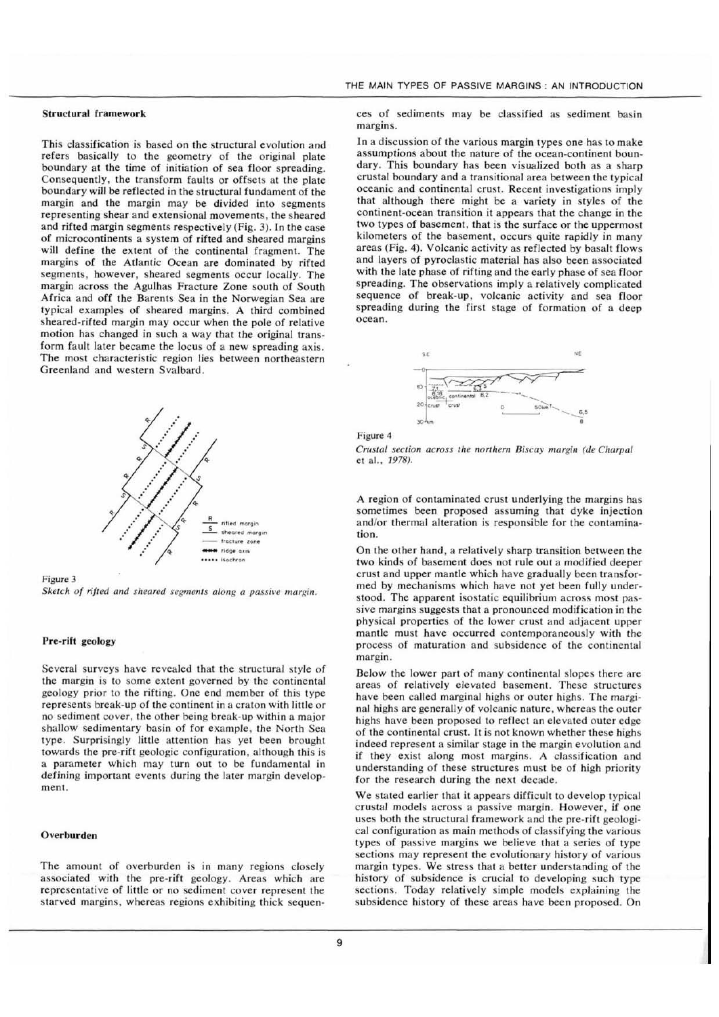# **Structural framework**

This classification is based on the structural evolution and refers basically to the geometry of the original plate boundary at the time of initiation of sea floor spreading. Consequently, the transform faults or offsets at the plate boundary will be reflected in the structural fundament of the margin and the margin may be divided into segments representing shear and extensional movements, the sheared and rifted margin segments respectively (Fig. 3). In the case of microcontinents a system of rifted and sheared margins will define the extent of the continental fragment. The margins of the Atlantic Ocean are dominated by rifted segments, however, sheared segments occur locally. The margin across the Agulhas Fracture Zone south of South Africa and off the Barents Sea in the Norwegian Sea are typical examples of sheared margins. A third combined sheared-rifted margin may occur when the pole of relative motion has changed in such a way that the original transform fault later became the locus of a new spreading axis. The most characteristic region lies between northeastern Greenland and western Svalbard.



Figure 3

Sketch of rifted and sheared segments along a passive margin.

# Pre-rift geology

Several surveys have revealed that the structural style of the margin is to some extent governed by the continental geology prior to the rifting. One end member of this type represents break-up of the continent in a craton with little or no sediment cover, the other being break-up within a major shallow sedimentary basin of for example, the North Sea type. Surprisingly little attention has yet been brought towards the pre-rift geologic configuration, although this is a parameter which may turn out to be fundamental in defining important events during the later margin development.

# Overburden

The amount of overburden is in many regions closely associated with the pre-rift geology. Areas which are representative of little or no sediment cover represent the starved margins, whereas regions exhibiting thick sequences of sediments may be classified as sediment basin margins.

In a discussion of the various margin types one has to make assumptions about the nature of the ocean-continent boundary. This boundary has been visualized both as a sharp crustal boundary and a transitional area between the typical oceanic and continental crust. Recent investigations imply that although there might be a variety in styles of the continent-ocean transition it appears that the change in the two types of basement, that is the surface or the uppermost kilometers of the basement, occurs quite rapidly in many areas (Fig. 4). Volcanic activity as reflected by basalt flows and layers of pyroclastic material has also been associated with the late phase of rifting and the early phase of sea floor spreading. The observations imply a relatively complicated sequence of break-up, volcanic activity and sea floor spreading during the first stage of formation of a deep ocean.





Crustal section across the northern Biscay margin (de Charpal et al., 1978).

A region of contaminated crust underlying the margins has sometimes been proposed assuming that dyke injection and/or thermal alteration is responsible for the contamination

On the other hand, a relatively sharp transition between the two kinds of basement does not rule out a modified deeper crust and upper mantle which have gradually been transformed by mechanisms which have not yet been fully understood. The apparent isostatic equilibrium across most passive margins suggests that a pronounced modification in the physical properties of the lower crust and adjacent upper mantle must have occurred contemporaneously with the process of maturation and subsidence of the continental margin.

Below the lower part of many continental slopes there are areas of relatively elevated basement. These structures have been called marginal highs or outer highs. The marginal highs are generally of volcanic nature, whereas the outer highs have been proposed to reflect an elevated outer edge of the continental crust. It is not known whether these highs indeed represent a similar stage in the margin evolution and if they exist along most margins. A classification and understanding of these structures must be of high priority for the research during the next decade.

We stated earlier that it appears difficult to develop typical crustal models across a passive margin. However, if one uses both the structural framework and the pre-rift geological configuration as main methods of classifying the various types of passive margins we believe that a series of type sections may represent the evolutionary history of various margin types. We stress that a better understanding of the history of subsidence is crucial to developing such type sections. Today relatively simple models explaining the subsidence history of these areas have been proposed. On